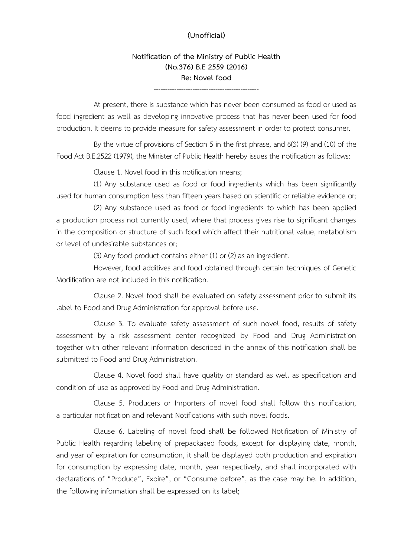### **(Unofficial)**

**Notification of the Ministry of Public Health (No.376) B.E 2559 (2016) Re: Novel food**

----------------------------------------------

At present, there is substance which has never been consumed as food or used as food ingredient as well as developing innovative process that has never been used for food production. It deems to provide measure for safety assessment in order to protect consumer.

By the virtue of provisions of Section 5 in the first phrase, and 6(3) (9) and (10) of the Food Act B.E.2522 (1979), the Minister of Public Health hereby issues the notification as follows:

Clause 1. Novel food in this notification means;

(1) Any substance used as food or food ingredients which has been significantly used for human consumption less than fifteen years based on scientific or reliable evidence or;

(2) Any substance used as food or food ingredients to which has been applied a production process not currently used, where that process gives rise to significant changes in the composition or structure of such food which affect their nutritional value, metabolism or level of undesirable substances or;

(3) Any food product contains either (1) or (2) as an ingredient.

However, food additives and food obtained through certain techniques of Genetic Modification are not included in this notification.

Clause 2. Novel food shall be evaluated on safety assessment prior to submit its label to Food and Drug Administration for approval before use.

Clause 3. To evaluate safety assessment of such novel food, results of safety assessment by a risk assessment center recognized by Food and Drug Administration together with other relevant information described in the annex of this notification shall be submitted to Food and Drug Administration.

Clause 4. Novel food shall have quality or standard as well as specification and condition of use as approved by Food and Drug Administration.

Clause 5. Producers or Importers of novel food shall follow this notification, a particular notification and relevant Notifications with such novel foods.

Clause 6. Labeling of novel food shall be followed Notification of Ministry of Public Health regarding labeling of prepackaged foods, except for displaying date, month, and year of expiration for consumption, it shall be displayed both production and expiration for consumption by expressing date, month, year respectively, and shall incorporated with declarations of "Produce", Expire", or "Consume before", as the case may be. In addition, the following information shall be expressed on its label;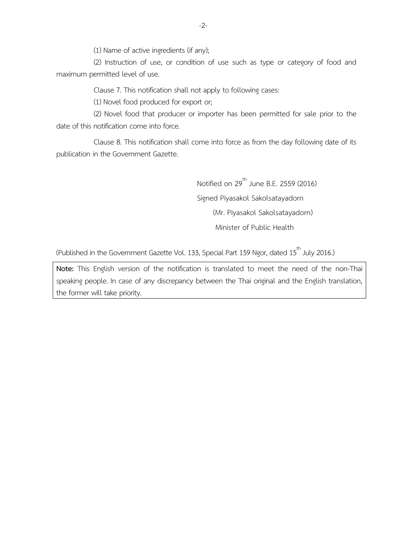(1) Name of active ingredients (if any);

(2) Instruction of use, or condition of use such as type or category of food and maximum permitted level of use.

Clause 7. This notification shall not apply to following cases:

(1) Novel food produced for export or;

(2) Novel food that producer or importer has been permitted for sale prior to the date of this notification come into force.

Clause 8. This notification shall come into force as from the day following date of its publication in the Government Gazette.

> Notified on  $29^{\text{th}}$  June B.E. 2559 (2016) Signed Piyasakol Sakolsatayadorn (Mr. Piyasakol Sakolsatayadorn) Minister of Public Health

(Published in the Government Gazette Vol. 133, Special Part 159 Ngor, dated 15 $^{\rm th}$  July 2016.)

**Note:** This English version of the notification is translated to meet the need of the non-Thai speaking people. In case of any discrepancy between the Thai original and the English translation, the former will take priority.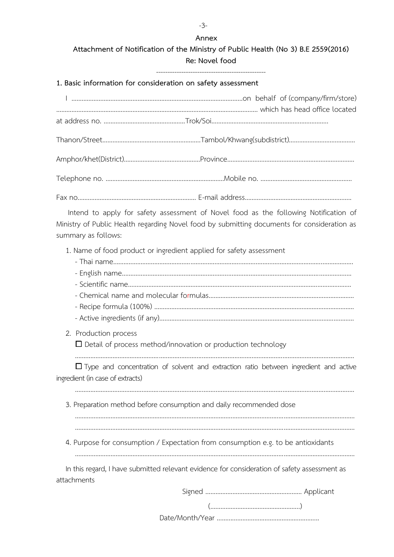**Attachment of Notification of the Ministry of Public Health (No 3) B.E 2559(2016) Re: Novel food**

------------------------------------------------

**1. Basic information for consideration on safety assessment**

Intend to apply for safety assessment of Novel food as the following Notification of Ministry of Public Health regarding Novel food by submitting documents for consideration as summary as follows:

1. Name of food product or ingredient applied for safety assessment

- Active ingredients (if any)…..………………………..………………………………………………………………………

...................................................................................................................................................................

2. Production process

□ Detail of process method/innovation or production technology

 $\Box$  Type and concentration of solvent and extraction ratio between ingredient and active ingredient (in case of extracts)

...................................................................................................................................................................

3. Preparation method before consumption and daily recommended dose

4. Purpose for consumption / Expectation from consumption e.g. to be antioxidants

……………………………………………………………………………….................................……………………………………

In this regard, I have submitted relevant evidence for consideration of safety assessment as attachments

Signed ……………..…………………………….…… Applicant

(……………………………………………..)

Date/Month/Year ............................................................

-3-

**Annex**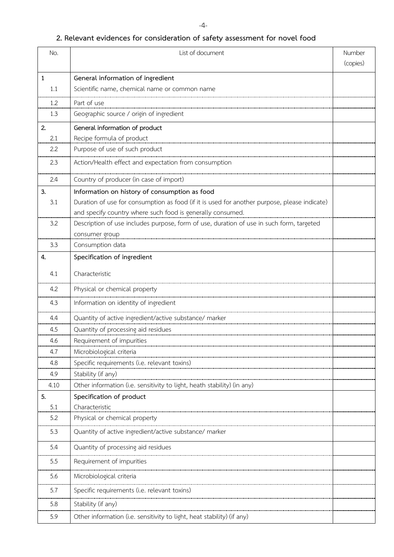#### -4-

# **2. Relevant evidences for consideration of safety assessment for novel food**

| No.  | List of document                                                                             | Number<br>(copies) |
|------|----------------------------------------------------------------------------------------------|--------------------|
|      |                                                                                              |                    |
| 1    | General information of ingredient                                                            |                    |
| 1.1  | Scientific name, chemical name or common name                                                |                    |
| 1.2  | Part of use                                                                                  |                    |
| 1.3  | Geographic source / origin of ingredient                                                     |                    |
| 2.   | General information of product                                                               |                    |
| 2.1  | Recipe formula of product                                                                    |                    |
| 2.2  | Purpose of use of such product                                                               |                    |
| 2.3  | Action/Health effect and expectation from consumption                                        |                    |
| 2.4  | Country of producer (in case of import)                                                      |                    |
| 3.   | Information on history of consumption as food                                                |                    |
| 3.1  | Duration of use for consumption as food (if it is used for another purpose, please indicate) |                    |
|      | and specify country where such food is generally consumed.                                   |                    |
| 3.2  | Description of use includes purpose, form of use, duration of use in such form, targeted     |                    |
|      | consumer group                                                                               |                    |
| 3.3  | Consumption data                                                                             |                    |
| 4.   | Specification of ingredient                                                                  |                    |
| 4.1  | Characteristic                                                                               |                    |
| 4.2  | Physical or chemical property                                                                |                    |
| 4.3  | Information on identity of ingredient                                                        |                    |
| 4.4  | Quantity of active ingredient/active substance/ marker                                       |                    |
| 4.5  | Quantity of processing aid residues                                                          |                    |
| 4.6  |                                                                                              |                    |
| 4.7  | Microbiological criteria                                                                     |                    |
| 4.8  |                                                                                              |                    |
| 4.9  | Stability (if any)                                                                           |                    |
| 4.10 | Other information (i.e. sensitivity to light, heath stability) (in any)                      |                    |
| 5.   | Specification of product                                                                     |                    |
| 5.1  | Characteristic                                                                               |                    |
| 5.2  | Physical or chemical property                                                                |                    |
| 5.3  | Quantity of active ingredient/active substance/ marker                                       |                    |
| 5.4  | Quantity of processing aid residues                                                          |                    |
| 5.5  | Requirement of impurities                                                                    |                    |
| 5.6  | Microbiological criteria                                                                     |                    |
| 5.7  | Specific requirements (i.e. relevant toxins)                                                 |                    |
| 5.8  | Stability (if any)                                                                           |                    |
| 5.9  | Other information (i.e. sensitivity to light, heat stability) (if any)                       |                    |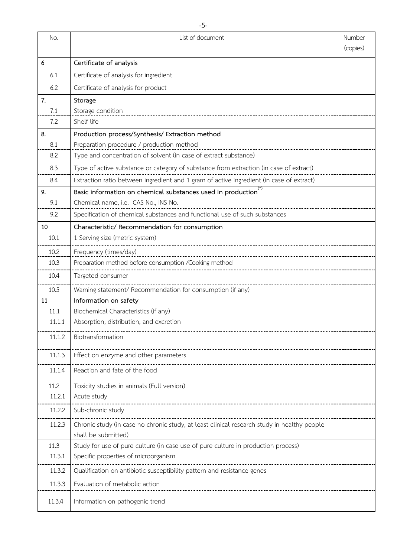| No.    | List of document                                                                            | Number<br>(copies) |
|--------|---------------------------------------------------------------------------------------------|--------------------|
| 6      | Certificate of analysis                                                                     |                    |
| 6.1    | Certificate of analysis for ingredient                                                      |                    |
| 6.2    | Certificate of analysis for product                                                         |                    |
| 7.     | Storage                                                                                     |                    |
| 7.1    | Storage condition                                                                           |                    |
| 7.2    | Shelf life                                                                                  |                    |
| 8.     | Production process/Synthesis/ Extraction method                                             |                    |
| 8.1    | Preparation procedure / production method                                                   |                    |
| 8.2    | Type and concentration of solvent (in case of extract substance)                            |                    |
| 8.3    | Type of active substance or category of substance from extraction (in case of extract)      |                    |
| 8.4    | Extraction ratio between ingredient and 1 gram of active ingredient (in case of extract)    |                    |
| 9.     | Basic information on chemical substances used in production <sup>(*)</sup>                  |                    |
| 9.1    | Chemical name, i.e. CAS No., INS No.                                                        |                    |
| 9.2    | Specification of chemical substances and functional use of such substances                  |                    |
| 10     | Characteristic/ Recommendation for consumption                                              |                    |
| 10.1   | 1 Serving size (metric system)                                                              |                    |
| 10.2   | Frequency (times/day)                                                                       |                    |
| 10.3   | Preparation method before consumption / Cooking method                                      |                    |
| 10.4   | Targeted consumer                                                                           |                    |
| 10.5   | Warning statement/ Recommendation for consumption (if any)                                  |                    |
| 11     | Information on safety                                                                       |                    |
| 11.1   | Biochemical Characteristics (if any)                                                        |                    |
| 11.1.1 | Absorption, distribution, and excretion                                                     |                    |
| 11.1.2 | Biotransformation                                                                           |                    |
| 11.1.3 | Effect on enzyme and other parameters                                                       |                    |
| 11.1.4 | Reaction and fate of the food                                                               |                    |
| 11.2   | Toxicity studies in animals (Full version)                                                  |                    |
| 11.2.1 | Acute study                                                                                 |                    |
| 11.2.2 | Sub-chronic study                                                                           |                    |
| 11.2.3 | Chronic study (in case no chronic study, at least clinical research study in healthy people |                    |
|        | shall be submitted)                                                                         |                    |
| 11.3   | Study for use of pure culture (in case use of pure culture in production process)           |                    |
| 11.3.1 | Specific properties of microorganism                                                        |                    |
| 11.3.2 | Qualification on antibiotic susceptibility pattern and resistance genes                     |                    |
| 11.3.3 | Evaluation of metabolic action                                                              |                    |
| 11.3.4 | Information on pathogenic trend                                                             |                    |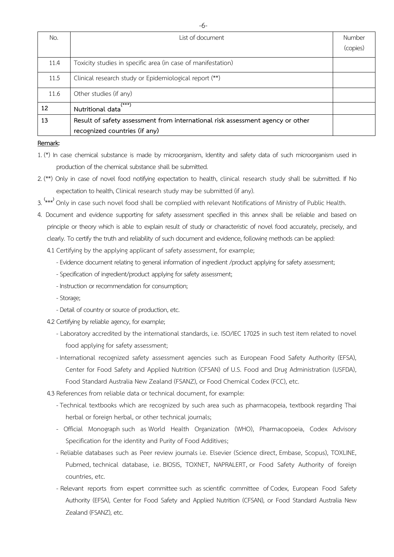| No.  | List of document                                                               | Number   |
|------|--------------------------------------------------------------------------------|----------|
|      |                                                                                | (copies) |
| 11.4 | Toxicity studies in specific area (in case of manifestation)                   |          |
| 11.5 | Clinical research study or Epidemiological report (**)                         |          |
| 11.6 | Other studies (if any)                                                         |          |
| 12   | (***)<br>Nutritional data                                                      |          |
| 13   | Result of safety assessment from international risk assessment agency or other |          |
|      | recognized countries (if any)                                                  |          |

#### **Remark:**

1. (\*) In case chemical substance is made by microorganism, Identity and safety data of such microorganism used in production of the chemical substance shall be submitted.

2. (\*\*) Only in case of novel food notifying expectation to health, clinical research study shall be submitted. If No expectation to health, Clinical research study may be submitted (if any).

3. **(** \*\*\* **)** Only in case such novel food shall be complied with relevant Notifications of Ministry of Public Health.

4. Document and evidence supporting for safety assessment specified in this annex shall be reliable and based on principle or theory which is able to explain result of study or characteristic of novel food accurately, precisely, and clearly. To certify the truth and reliability of such document and evidence, following methods can be applied: 4.1 Certifying by the applying applicant of safety assessment, for example;

- -Evidence document relating to general information of ingredient /product applying for safety assessment;
- Specification of ingredient/product applying for safety assessment;
- Instruction or recommendation for consumption;
- -Storage;
- Detail of country or source of production, etc.

4.2 Certifying by reliable agency, for example;

- Laboratory accredited by the international standards, i.e. ISO/IEC 17025 in such test item related to novel food applying for safety assessment;
- International recognized safety assessment agencies such as European Food Safety Authority (EFSA), Center for Food Safety and Applied Nutrition (CFSAN) of U.S. Food and Drug Administration (USFDA), Food Standard Australia New Zealand (FSANZ), or Food Chemical Codex (FCC), etc.

4.3 References from reliable data or technical document, for example:

- -Technical textbooks which are recognized by such area such as pharmacopeia, textbook regarding Thai herbal or foreign herbal, or other technical journals;
- Official Monograph such as World Health Organization (WHO), Pharmacopoeia, Codex Advisory Specification for the identity and Purity of Food Additives;
- Reliable databases such as Peer review journals i.e. Elsevier (Science direct, Embase, Scopus), TOXLINE, Pubmed, technical database, i.e. BIOSIS, TOXNET, NAPRALERT, or Food Safety Authority of foreign countries, etc.
- Relevant reports from expert committee such as scientific committee of Codex, European Food Safety Authority (EFSA), Center for Food Safety and Applied Nutrition (CFSAN), or Food Standard Australia New Zealand (FSANZ), etc.